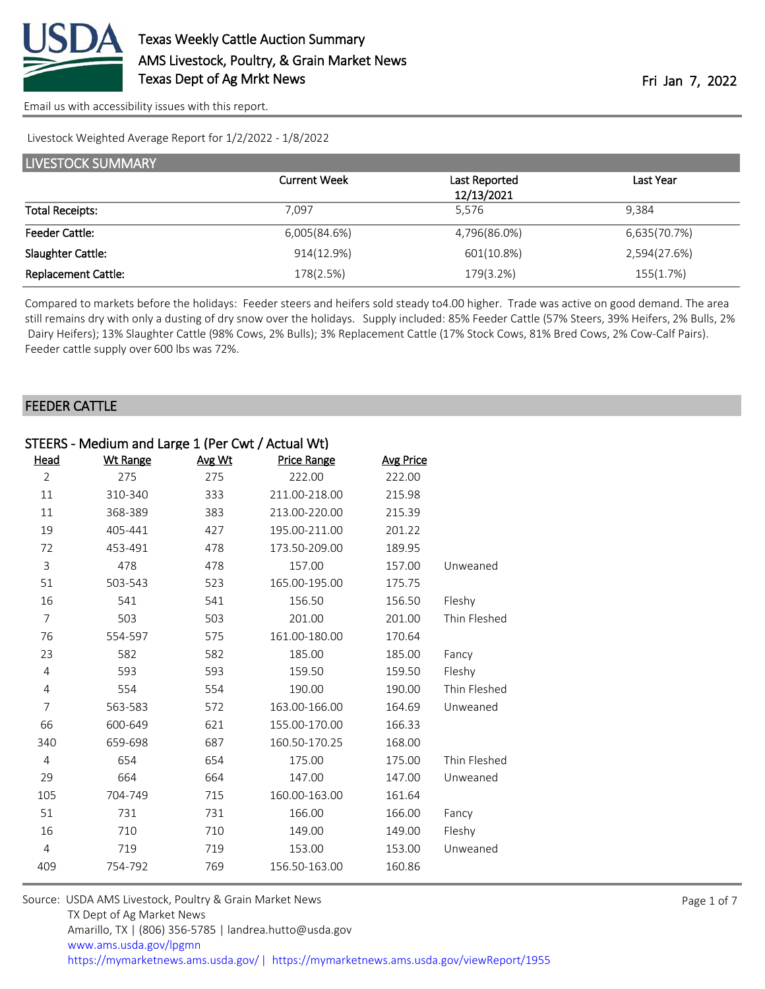

[Email us with accessibility issues with this report.](mailto:mars@ams.usda.gov?subject=508%20issue)

Livestock Weighted Average Report for 1/2/2022 - 1/8/2022

| LIVESTOCK SUMMARY          |                     |               |              |  |  |
|----------------------------|---------------------|---------------|--------------|--|--|
|                            | <b>Current Week</b> | Last Reported | Last Year    |  |  |
|                            |                     | 12/13/2021    |              |  |  |
| <b>Total Receipts:</b>     | 7.097               | 5.576         | 9.384        |  |  |
| <b>Feeder Cattle:</b>      | 6,005(84.6%)        | 4,796(86.0%)  | 6,635(70.7%) |  |  |
| Slaughter Cattle:          | 914(12.9%)          | 601(10.8%)    | 2,594(27.6%) |  |  |
| <b>Replacement Cattle:</b> | 178(2.5%)           | 179(3.2%)     | 155(1.7%)    |  |  |

Compared to markets before the holidays: Feeder steers and heifers sold steady to 4.00 higher. Trade was active on good demand. The area still remains dry with only a dusting of dry snow over the holidays. Supply included: 85% Feeder Cattle (57% Steers, 39% Heifers, 2% Bulls, 2% Dairy Heifers); 13% Slaughter Cattle (98% Cows, 2% Bulls); 3% Replacement Cattle (17% Stock Cows, 81% Bred Cows, 2% Cow-Calf Pairs). Feeder cattle supply over 600 lbs was 72%.

### FEEDER CATTLE

| STEERS - Medium and Large 1 (Per Cwt / Actual Wt) |                 |        |                    |                  |              |
|---------------------------------------------------|-----------------|--------|--------------------|------------------|--------------|
| Head                                              | <b>Wt Range</b> | Avg Wt | <b>Price Range</b> | <b>Avg Price</b> |              |
| $\overline{2}$                                    | 275             | 275    | 222.00             | 222.00           |              |
| 11                                                | 310-340         | 333    | 211.00-218.00      | 215.98           |              |
| 11                                                | 368-389         | 383    | 213.00-220.00      | 215.39           |              |
| 19                                                | 405-441         | 427    | 195.00-211.00      | 201.22           |              |
| 72                                                | 453-491         | 478    | 173.50-209.00      | 189.95           |              |
| 3                                                 | 478             | 478    | 157.00             | 157.00           | Unweaned     |
| 51                                                | 503-543         | 523    | 165.00-195.00      | 175.75           |              |
| 16                                                | 541             | 541    | 156.50             | 156.50           | Fleshy       |
| $\overline{7}$                                    | 503             | 503    | 201.00             | 201.00           | Thin Fleshed |
| 76                                                | 554-597         | 575    | 161.00-180.00      | 170.64           |              |
| 23                                                | 582             | 582    | 185.00             | 185.00           | Fancy        |
| $\overline{4}$                                    | 593             | 593    | 159.50             | 159.50           | Fleshy       |
| 4                                                 | 554             | 554    | 190.00             | 190.00           | Thin Fleshed |
| 7                                                 | 563-583         | 572    | 163.00-166.00      | 164.69           | Unweaned     |
| 66                                                | 600-649         | 621    | 155.00-170.00      | 166.33           |              |
| 340                                               | 659-698         | 687    | 160.50-170.25      | 168.00           |              |
| $\overline{4}$                                    | 654             | 654    | 175.00             | 175.00           | Thin Fleshed |
| 29                                                | 664             | 664    | 147.00             | 147.00           | Unweaned     |
| 105                                               | 704-749         | 715    | 160.00-163.00      | 161.64           |              |
| 51                                                | 731             | 731    | 166.00             | 166.00           | Fancy        |
| 16                                                | 710             | 710    | 149.00             | 149.00           | Fleshy       |
| $\overline{4}$                                    | 719             | 719    | 153.00             | 153.00           | Unweaned     |
| 409                                               | 754-792         | 769    | 156.50-163.00      | 160.86           |              |
|                                                   |                 |        |                    |                  |              |

| Source: USDA AMS Livestock, Poultry & Grain Market News                                |
|----------------------------------------------------------------------------------------|
| TX Dept of Ag Market News                                                              |
| Amarillo, TX   (806) 356-5785   landrea.hutto@usda.gov                                 |
| www.ams.usda.gov/lpgmn                                                                 |
| https://mymarketnews.ams.usda.gov/   https://mymarketnews.ams.usda.gov/viewReport/1955 |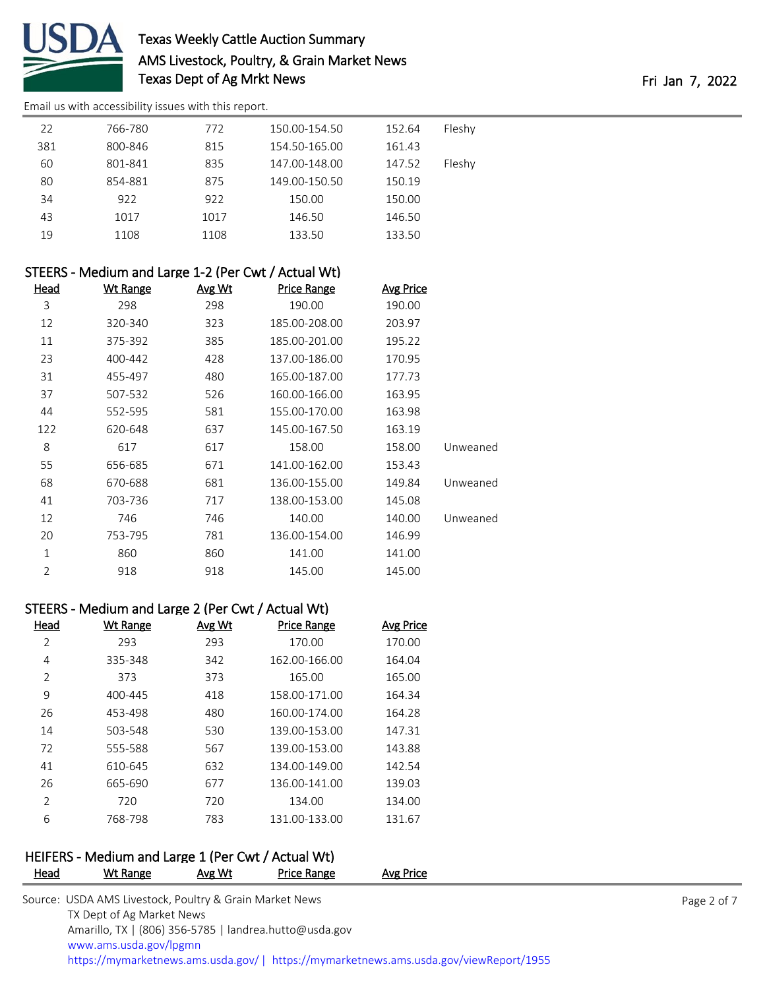

# Texas Weekly Cattle Auction Summary AMS Livestock, Poultry, & Grain Market News Texas Dept of Ag Mrkt News Fri Jan 7, 2022

[Email us with accessibility issues with this report.](mailto:mars@ams.usda.gov?subject=508%20issue)

| 22  | 766-780 | 772  | 150.00-154.50 | 152.64 | Fleshy |
|-----|---------|------|---------------|--------|--------|
| 381 | 800-846 | 815  | 154.50-165.00 | 161.43 |        |
| 60  | 801-841 | 835  | 147.00-148.00 | 147.52 | Fleshy |
| 80  | 854-881 | 875  | 149.00-150.50 | 150.19 |        |
| 34  | 922     | 922  | 150.00        | 150.00 |        |
| 43  | 1017    | 1017 | 146.50        | 146.50 |        |
| 19  | 1108    | 1108 | 133.50        | 133.50 |        |

|          | STEERS - Medium and Large 1-2 (Per Cwt / Actual Wt) |               |               |                 |                |  |
|----------|-----------------------------------------------------|---------------|---------------|-----------------|----------------|--|
|          | <b>Avg Price</b>                                    | Price Range   | <u>Avg Wt</u> | <b>Wt Range</b> | Head           |  |
|          | 190.00                                              | 190.00        | 298           | 298             | 3              |  |
|          | 203.97                                              | 185.00-208.00 | 323           | 320-340         | 12             |  |
|          | 195.22                                              | 185.00-201.00 | 385           | 375-392         | 11             |  |
|          | 170.95                                              | 137.00-186.00 | 428           | 400-442         | 23             |  |
|          | 177.73                                              | 165.00-187.00 | 480           | 455-497         | 31             |  |
|          | 163.95                                              | 160.00-166.00 | 526           | 507-532         | 37             |  |
|          | 163.98                                              | 155.00-170.00 | 581           | 552-595         | 44             |  |
|          | 163.19                                              | 145.00-167.50 | 637           | 620-648         | 122            |  |
| Unweaned | 158.00                                              | 158.00        | 617           | 617             | 8              |  |
|          | 153.43                                              | 141.00-162.00 | 671           | 656-685         | 55             |  |
| Unweaned | 149.84                                              | 136.00-155.00 | 681           | 670-688         | 68             |  |
|          | 145.08                                              | 138.00-153.00 | 717           | 703-736         | 41             |  |
| Unweaned | 140.00                                              | 140.00        | 746           | 746             | 12             |  |
|          | 146.99                                              | 136.00-154.00 | 781           | 753-795         | 20             |  |
|          | 141.00                                              | 141.00        | 860           | 860             | $\mathbf 1$    |  |
|          | 145.00                                              | 145.00        | 918           | 918             | $\overline{2}$ |  |
|          |                                                     |               |               |                 |                |  |

# STEERS - Medium and Large 2 (Per Cwt / Actual Wt)

| Head | Wt Range | Avg Wt | <b>Price Range</b> | <b>Avg Price</b> |
|------|----------|--------|--------------------|------------------|
| 2    | 293      | 293    | 170.00             | 170.00           |
| 4    | 335-348  | 342    | 162.00-166.00      | 164.04           |
| 2    | 373      | 373    | 165.00             | 165.00           |
| 9    | 400-445  | 418    | 158.00-171.00      | 164.34           |
| 26   | 453-498  | 480    | 160.00-174.00      | 164.28           |
| 14   | 503-548  | 530    | 139.00-153.00      | 147.31           |
| 72   | 555-588  | 567    | 139.00-153.00      | 143.88           |
| 41   | 610-645  | 632    | 134.00-149.00      | 142.54           |
| 26   | 665-690  | 677    | 136.00-141.00      | 139.03           |
| 2    | 720      | 720    | 134.00             | 134.00           |
| 6    | 768-798  | 783    | 131.00-133.00      | 131.67           |

# HEIFERS - Medium and Large 1 (Per Cwt / Actual Wt)

| <b>Head</b> | Wt Range                                                | Avg Wt | Price Range                                            | <b>Avg Price</b>                                                                      |             |
|-------------|---------------------------------------------------------|--------|--------------------------------------------------------|---------------------------------------------------------------------------------------|-------------|
|             | Source: USDA AMS Livestock, Poultry & Grain Market News |        |                                                        |                                                                                       | Page 2 of 7 |
|             | TX Dept of Ag Market News                               |        |                                                        |                                                                                       |             |
|             |                                                         |        | Amarillo, TX   (806) 356-5785   landrea.hutto@usda.gov |                                                                                       |             |
|             | www.ams.usda.gov/lpgmn                                  |        |                                                        |                                                                                       |             |
|             |                                                         |        |                                                        | https://mymarketnews.ams.usda.gov/  https://mymarketnews.ams.usda.gov/viewReport/1955 |             |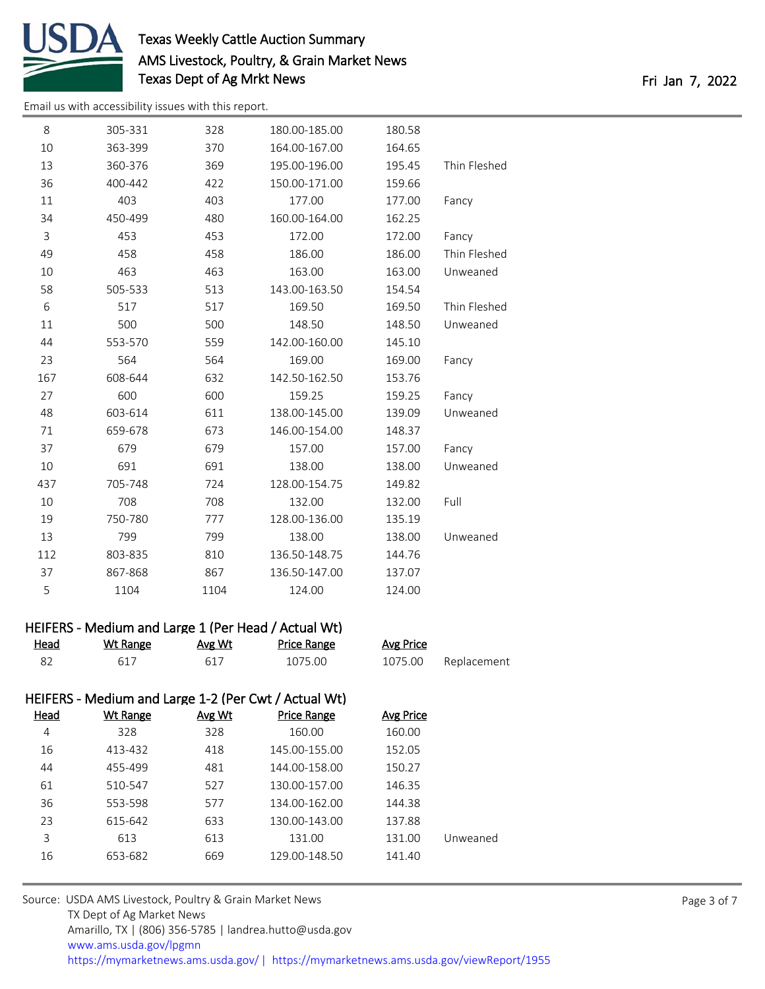

# Texas Weekly Cattle Auction Summary AMS Livestock, Poultry, & Grain Market News Texas Dept of Ag Mrkt News Fri Jan 7, 2022

[Email us with accessibility issues with this report.](mailto:mars@ams.usda.gov?subject=508%20issue)

| 8   | 305-331 | 328  | 180.00-185.00 | 180.58 |              |
|-----|---------|------|---------------|--------|--------------|
| 10  | 363-399 | 370  | 164.00-167.00 | 164.65 |              |
| 13  | 360-376 | 369  | 195.00-196.00 | 195.45 | Thin Fleshed |
| 36  | 400-442 | 422  | 150.00-171.00 | 159.66 |              |
| 11  | 403     | 403  | 177.00        | 177.00 | Fancy        |
| 34  | 450-499 | 480  | 160.00-164.00 | 162.25 |              |
| 3   | 453     | 453  | 172.00        | 172.00 | Fancy        |
| 49  | 458     | 458  | 186.00        | 186.00 | Thin Fleshed |
| 10  | 463     | 463  | 163.00        | 163.00 | Unweaned     |
| 58  | 505-533 | 513  | 143.00-163.50 | 154.54 |              |
| 6   | 517     | 517  | 169.50        | 169.50 | Thin Fleshed |
| 11  | 500     | 500  | 148.50        | 148.50 | Unweaned     |
| 44  | 553-570 | 559  | 142.00-160.00 | 145.10 |              |
| 23  | 564     | 564  | 169.00        | 169.00 | Fancy        |
| 167 | 608-644 | 632  | 142.50-162.50 | 153.76 |              |
| 27  | 600     | 600  | 159.25        | 159.25 | Fancy        |
| 48  | 603-614 | 611  | 138.00-145.00 | 139.09 | Unweaned     |
| 71  | 659-678 | 673  | 146.00-154.00 | 148.37 |              |
| 37  | 679     | 679  | 157.00        | 157.00 | Fancy        |
| 10  | 691     | 691  | 138.00        | 138.00 | Unweaned     |
| 437 | 705-748 | 724  | 128.00-154.75 | 149.82 |              |
| 10  | 708     | 708  | 132.00        | 132.00 | Full         |
| 19  | 750-780 | 777  | 128.00-136.00 | 135.19 |              |
| 13  | 799     | 799  | 138.00        | 138.00 | Unweaned     |
| 112 | 803-835 | 810  | 136.50-148.75 | 144.76 |              |
| 37  | 867-868 | 867  | 136.50-147.00 | 137.07 |              |
| 5   | 1104    | 1104 | 124.00        | 124.00 |              |
|     |         |      |               |        |              |

## HEIFERS - Medium and Large 1 (Per Head / Actual Wt)

| Head | Wt Range | Avg Wt | Price Range | Avg Price |             |
|------|----------|--------|-------------|-----------|-------------|
|      |          | 617    | 1075.00     | 1075.00   | Replacement |

# HEIFERS - Medium and Large 1-2 (Per Cwt / Actual Wt)

| Head | Wt Range | Avg Wt | <b>Price Range</b> | Avg Price |          |
|------|----------|--------|--------------------|-----------|----------|
| 4    | 328      | 328    | 160.00             | 160.00    |          |
| 16   | 413-432  | 418    | 145.00-155.00      | 152.05    |          |
| 44   | 455-499  | 481    | 144.00-158.00      | 150.27    |          |
| 61   | 510-547  | 527    | 130.00-157.00      | 146.35    |          |
| 36   | 553-598  | 577    | 134.00-162.00      | 144.38    |          |
| 23   | 615-642  | 633    | 130.00-143.00      | 137.88    |          |
| 3    | 613      | 613    | 131.00             | 131.00    | Unweaned |
| 16   | 653-682  | 669    | 129.00-148.50      | 141.40    |          |
|      |          |        |                    |           |          |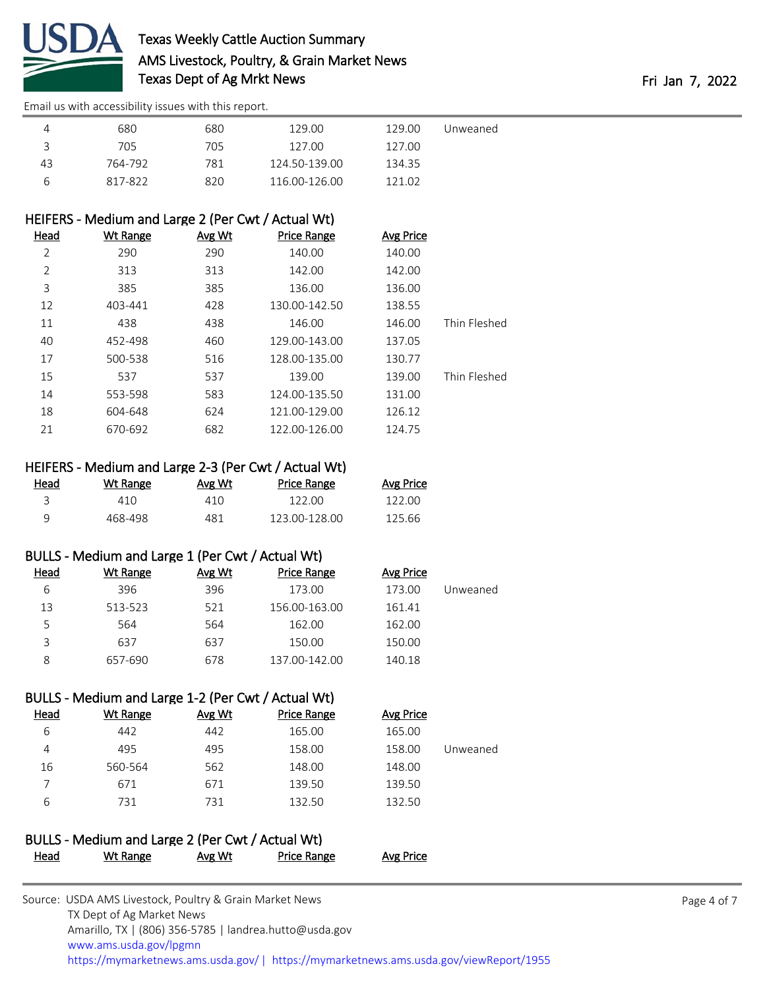

[Email us with accessibility issues with this report.](mailto:mars@ams.usda.gov?subject=508%20issue)

|    | 680     | 680 | 129.00        | 129.00 | Unweaned |
|----|---------|-----|---------------|--------|----------|
|    | 705     | 705 | 127.00        | 127.00 |          |
| 43 | 764-792 | 781 | 124.50-139.00 | 134.35 |          |
| h  | 817-822 | 820 | 116.00-126.00 | 121.02 |          |

## HEIFERS - Medium and Large 2 (Per Cwt / Actual Wt)

| Wt Range | Avg Wt | <b>Price Range</b> | <b>Avg Price</b> |              |
|----------|--------|--------------------|------------------|--------------|
| 290      | 290    | 140.00             | 140.00           |              |
| 313      | 313    | 142.00             | 142.00           |              |
| 385      | 385    | 136.00             | 136.00           |              |
| 403-441  | 428    | 130.00-142.50      | 138.55           |              |
| 438      | 438    | 146.00             | 146.00           | Thin Fleshed |
| 452-498  | 460    | 129.00-143.00      | 137.05           |              |
| 500-538  | 516    | 128.00-135.00      | 130.77           |              |
| 537      | 537    | 139.00             | 139.00           | Thin Fleshed |
| 553-598  | 583    | 124.00-135.50      | 131.00           |              |
| 604-648  | 624    | 121.00-129.00      | 126.12           |              |
| 670-692  | 682    | 122.00-126.00      | 124.75           |              |
|          |        |                    |                  |              |

## HEIFERS - Medium and Large 2-3 (Per Cwt / Actual Wt)

| Head | Wt Range | Avg Wt | <b>Price Range</b> | <b>Avg Price</b> |
|------|----------|--------|--------------------|------------------|
|      | 410.     | 410    | 122.00             | 122 OO           |
| a    | 468-498  | 481    | 123 00-128 00      | 125.66           |

### BULLS - Medium and Large 1 (Per Cwt / Actual Wt)

| Head | Wt Range | Avg Wt | <b>Price Range</b> | Avg Price |          |
|------|----------|--------|--------------------|-----------|----------|
| 6    | 396      | 396    | 173.00             | 173.00    | Unweaned |
| 13   | 513-523  | 521    | 156.00-163.00      | 161.41    |          |
| Ь    | 564      | 564    | 162.00             | 162.00    |          |
| 3    | 637      | 637    | 150.00             | 150.00    |          |
| 8    | 657-690  | 678    | 137.00-142.00      | 140.18    |          |

## BULLS - Medium and Large 1-2 (Per Cwt / Actual Wt)

| Head | Wt Range | <b>Avg Wt</b> | <b>Price Range</b> | Avg Price |          |
|------|----------|---------------|--------------------|-----------|----------|
| 6    | 442      | 442           | 165.00             | 165.00    |          |
| 4    | 495      | 495           | 158.00             | 158.00    | Unweaned |
| 16   | 560-564  | 562           | 148.00             | 148.00    |          |
|      | 671      | 671           | 139.50             | 139.50    |          |
| 6    | 731      | 731           | 132.50             | 132.50    |          |

# BULLS - Medium and Large 2 (Per Cwt / Actual Wt) Head Wt Range Avg Wt Price Range Avg Price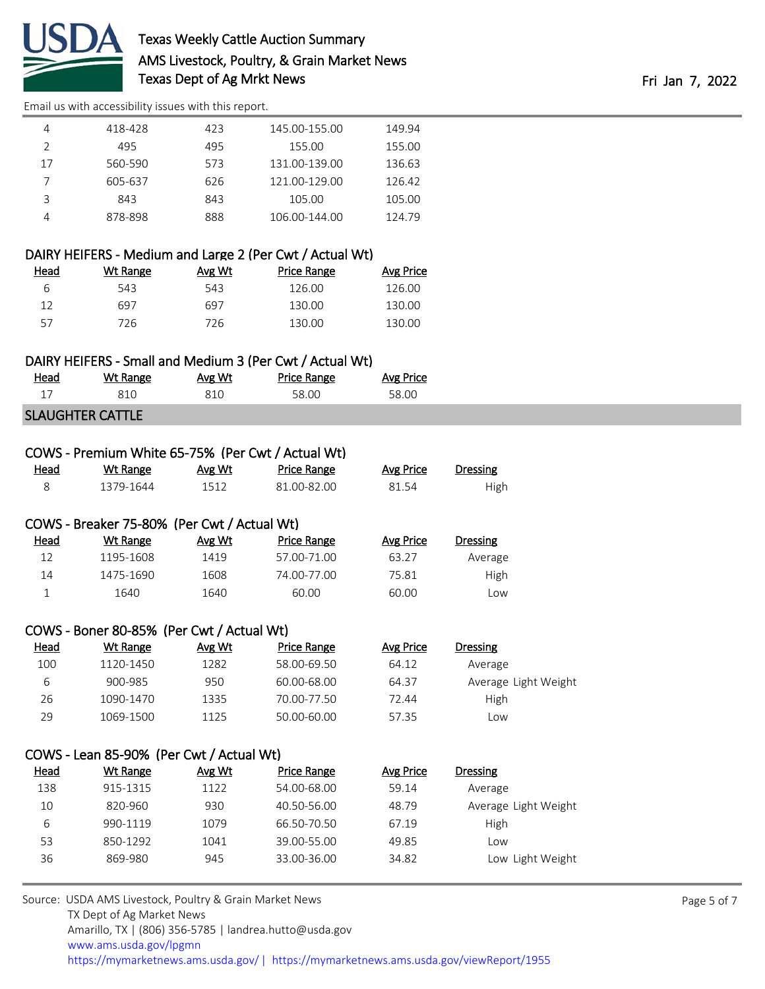

# Texas Weekly Cattle Auction Summary AMS Livestock, Poultry, & Grain Market News Texas Dept of Ag Mrkt News **Fri Jan 7, 2022**

[Email us with accessibility issues with this report.](mailto:mars@ams.usda.gov?subject=508%20issue)

# DAIRY HEIFERS - Medium and Large 2 (Per Cwt / Actual Wt)

| Head | Wt Range | Avg Wt | Price Range | Avg Price |
|------|----------|--------|-------------|-----------|
| ь    | 543      | 543    | 126.00      | 126.00    |
| 12   | 697      | 697    | 130.00      | 130.00    |
| 57   | 726      | 726    | 130.00      | 130.00    |

#### DAIRY HEIFERS - Small and Medium 3 (Per Cwt / Actual Wt)

| <u>Head</u> | Wt Range | Avg Wt | <b>Price Range</b> | <b>Avg Price</b> |
|-------------|----------|--------|--------------------|------------------|
|             | 810      | 810    | 58.00              | 58.00            |
|             |          |        |                    |                  |

### SLAUGHTER CATTLE

### COWS - Premium White 65-75% (Per Cwt / Actual Wt)

| Head<br>______ | Wt Range  | Avg Wt | <b>Price Range</b> | Avg Price | Dressing |
|----------------|-----------|--------|--------------------|-----------|----------|
|                | 1379-1644 | 1512   | 81 00-82 00        | 81.54     | High     |

#### COWS - Breaker 75-80% (Per Cwt / Actual Wt)

| Head | Wt Range  | Avg Wt | Price Range | Avg Price | <b>Dressing</b> |
|------|-----------|--------|-------------|-----------|-----------------|
| 12   | 1195-1608 | 1419   | 57.00-71.00 | 63.27     | Average         |
| 14   | 1475-1690 | 1608   | 74.00-77.00 | 75.81     | High            |
|      | 1640.     | 1640   | 60.00       | 60.00     | Low             |

#### COWS - Boner 80-85% (Per Cwt / Actual Wt)

| <u>Head</u> | Wt Range  | Avg Wt | Price Range | Avg Price | <b>Dressing</b>      |
|-------------|-----------|--------|-------------|-----------|----------------------|
| 100         | 1120-1450 | 1282   | 58.00-69.50 | 64.12     | Average              |
| b           | 900-985   | 950    | 60.00-68.00 | 64.37     | Average Light Weight |
| 26          | 1090-1470 | 1335   | 70.00-77.50 | 72.44     | <b>High</b>          |
| 29          | 1069-1500 | 1125   | 50.00-60.00 | 57.35     | _OW                  |

#### COWS - Lean 85-90% (Per Cwt / Actual Wt)

| <b>Head</b> | Wt Range | Avg Wt | Price Range | Avg Price | <b>Dressing</b>      |
|-------------|----------|--------|-------------|-----------|----------------------|
| 138         | 915-1315 | 1122   | 54.00-68.00 | 59.14     | Average              |
| 10          | 820-960  | 930    | 40.50-56.00 | 48.79     | Average Light Weight |
| b           | 990-1119 | 1079   | 66.50-70.50 | 67.19     | High                 |
| 53          | 850-1292 | 1041   | 39.00-55.00 | 49.85     | Low                  |
| 36          | 869-980  | 945    | 33.00-36.00 | 34.82     | Low Light Weight     |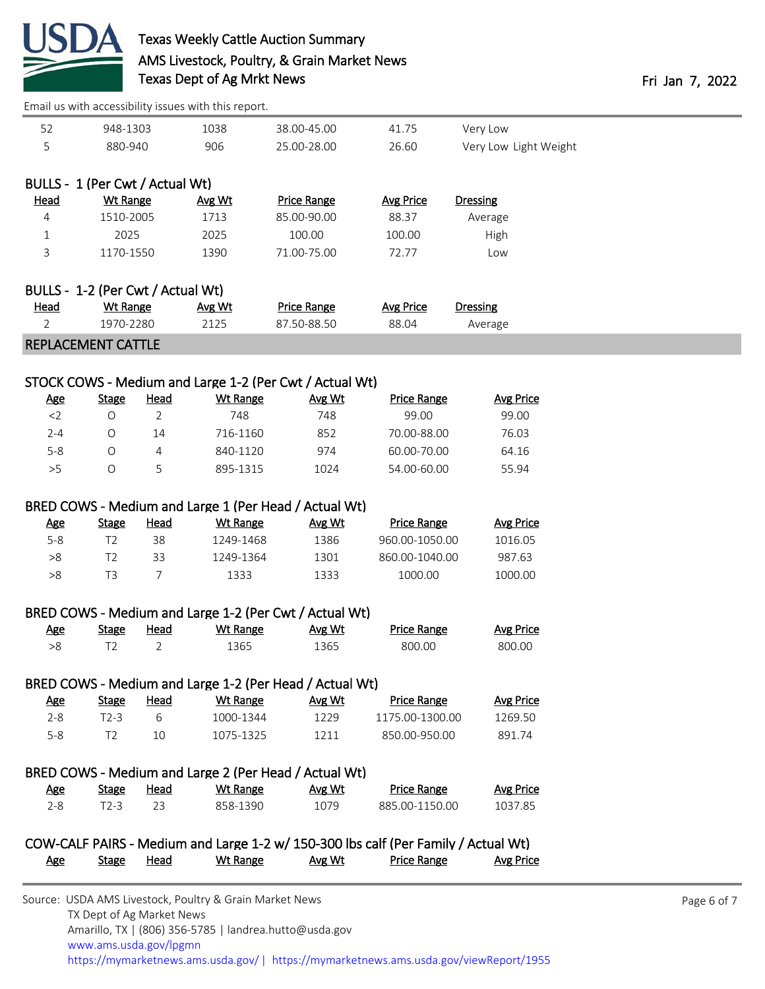

[Email us with accessibility issues with this report.](mailto:mars@ams.usda.gov?subject=508%20issue)

|                |                                   |                | Email us with accessibility issues with this report. |                                                         |                                                                                    |                       |
|----------------|-----------------------------------|----------------|------------------------------------------------------|---------------------------------------------------------|------------------------------------------------------------------------------------|-----------------------|
| 52             | 948-1303                          |                | 1038                                                 | 38.00-45.00                                             | 41.75                                                                              | Very Low              |
| 5              | 880-940                           |                | 906                                                  | 25.00-28.00                                             | 26.60                                                                              | Very Low Light Weight |
|                |                                   |                |                                                      |                                                         |                                                                                    |                       |
|                | BULLS - 1 (Per Cwt / Actual Wt)   |                |                                                      |                                                         |                                                                                    |                       |
| <b>Head</b>    | <b>Wt Range</b>                   |                | Avg Wt                                               | Price Range                                             | <b>Avg Price</b>                                                                   | <b>Dressing</b>       |
| 4              | 1510-2005                         |                | 1713                                                 | 85.00-90.00                                             | 88.37                                                                              | Average               |
| $\mathbf 1$    | 2025                              |                | 2025                                                 | 100.00                                                  | 100.00                                                                             | <b>High</b>           |
| 3              | 1170-1550                         |                | 1390                                                 | 71.00-75.00                                             | 72.77                                                                              | Low                   |
|                |                                   |                |                                                      |                                                         |                                                                                    |                       |
|                | BULLS - 1-2 (Per Cwt / Actual Wt) |                |                                                      |                                                         |                                                                                    |                       |
| <b>Head</b>    | <b>Wt Range</b>                   |                | Avg Wt                                               | <b>Price Range</b>                                      | <b>Avg Price</b>                                                                   | <b>Dressing</b>       |
| $\overline{2}$ | 1970-2280                         |                | 2125                                                 | 87.50-88.50                                             | 88.04                                                                              | Average               |
|                | <b>REPLACEMENT CATTLE</b>         |                |                                                      |                                                         |                                                                                    |                       |
|                |                                   |                |                                                      |                                                         |                                                                                    |                       |
|                |                                   |                |                                                      | STOCK COWS - Medium and Large 1-2 (Per Cwt / Actual Wt) |                                                                                    |                       |
| <b>Age</b>     | <b>Stage</b>                      | <b>Head</b>    | <b>Wt Range</b>                                      | Avg Wt                                                  | <b>Price Range</b>                                                                 | <b>Avg Price</b>      |
| $<$ 2          | $\circ$                           | $\overline{2}$ | 748                                                  | 748                                                     | 99.00                                                                              | 99.00                 |
| $2 - 4$        | $\circ$                           | 14             | 716-1160                                             | 852                                                     | 70.00-88.00                                                                        | 76.03                 |
| $5 - 8$        | O                                 | 4              | 840-1120                                             | 974                                                     | 60.00-70.00                                                                        | 64.16                 |
| $>5$           | O                                 | 5              | 895-1315                                             | 1024                                                    | 54.00-60.00                                                                        | 55.94                 |
|                |                                   |                |                                                      |                                                         |                                                                                    |                       |
|                |                                   |                |                                                      | BRED COWS - Medium and Large 1 (Per Head / Actual Wt)   |                                                                                    |                       |
| <u>Age</u>     | <b>Stage</b>                      | <b>Head</b>    | <b>Wt Range</b>                                      | Avg Wt                                                  | <b>Price Range</b>                                                                 | <b>Avg Price</b>      |
| $5 - 8$        | T <sub>2</sub>                    | 38             | 1249-1468                                            | 1386                                                    | 960.00-1050.00                                                                     | 1016.05               |
| $>\!\!8$       | T <sub>2</sub>                    | 33             | 1249-1364                                            | 1301                                                    | 860.00-1040.00                                                                     | 987.63                |
| >8             | T <sub>3</sub>                    | $\overline{7}$ | 1333                                                 | 1333                                                    | 1000.00                                                                            | 1000.00               |
|                |                                   |                |                                                      |                                                         |                                                                                    |                       |
|                |                                   |                |                                                      | BRED COWS - Medium and Large 1-2 (Per Cwt / Actual Wt)  |                                                                                    |                       |
| <b>Age</b>     | <b>Stage</b>                      | <b>Head</b>    | <b>Wt Range</b>                                      | Avg Wt                                                  | <b>Price Range</b>                                                                 | <b>Avg Price</b>      |
| >8             | T <sub>2</sub>                    | 2              | 1365                                                 | 1365                                                    | 800.00                                                                             | 800.00                |
|                |                                   |                |                                                      |                                                         |                                                                                    |                       |
|                |                                   |                |                                                      | BRED COWS - Medium and Large 1-2 (Per Head / Actual Wt) |                                                                                    |                       |
| <u>Age</u>     | <b>Stage</b>                      | <b>Head</b>    | <b>Wt Range</b>                                      | Avg Wt                                                  | <b>Price Range</b>                                                                 | <b>Avg Price</b>      |
| $2 - 8$        | $T2-3$                            | 6              | 1000-1344                                            | 1229                                                    | 1175.00-1300.00                                                                    | 1269.50               |
| $5-8$          | T <sub>2</sub>                    | 10             | 1075-1325                                            | 1211                                                    | 850.00-950.00                                                                      | 891.74                |
|                |                                   |                |                                                      |                                                         |                                                                                    |                       |
|                |                                   |                |                                                      | BRED COWS - Medium and Large 2 (Per Head / Actual Wt)   |                                                                                    |                       |
| <u>Age</u>     | <b>Stage</b>                      | <b>Head</b>    | <b>Wt Range</b>                                      | Avg Wt                                                  | <b>Price Range</b>                                                                 | <b>Avg Price</b>      |
| $2 - 8$        | $T2-3$                            | 23             | 858-1390                                             | 1079                                                    | 885.00-1150.00                                                                     | 1037.85               |
|                |                                   |                |                                                      |                                                         |                                                                                    |                       |
|                |                                   |                |                                                      |                                                         | COW-CALF PAIRS - Medium and Large 1-2 w/ 150-300 lbs calf (Per Family / Actual Wt) |                       |
| <u>Age</u>     | <b>Stage</b>                      | <b>Head</b>    | <b>Wt Range</b>                                      | Avg Wt                                                  | <b>Price Range</b>                                                                 | <b>Avg Price</b>      |
|                |                                   |                |                                                      |                                                         |                                                                                    |                       |